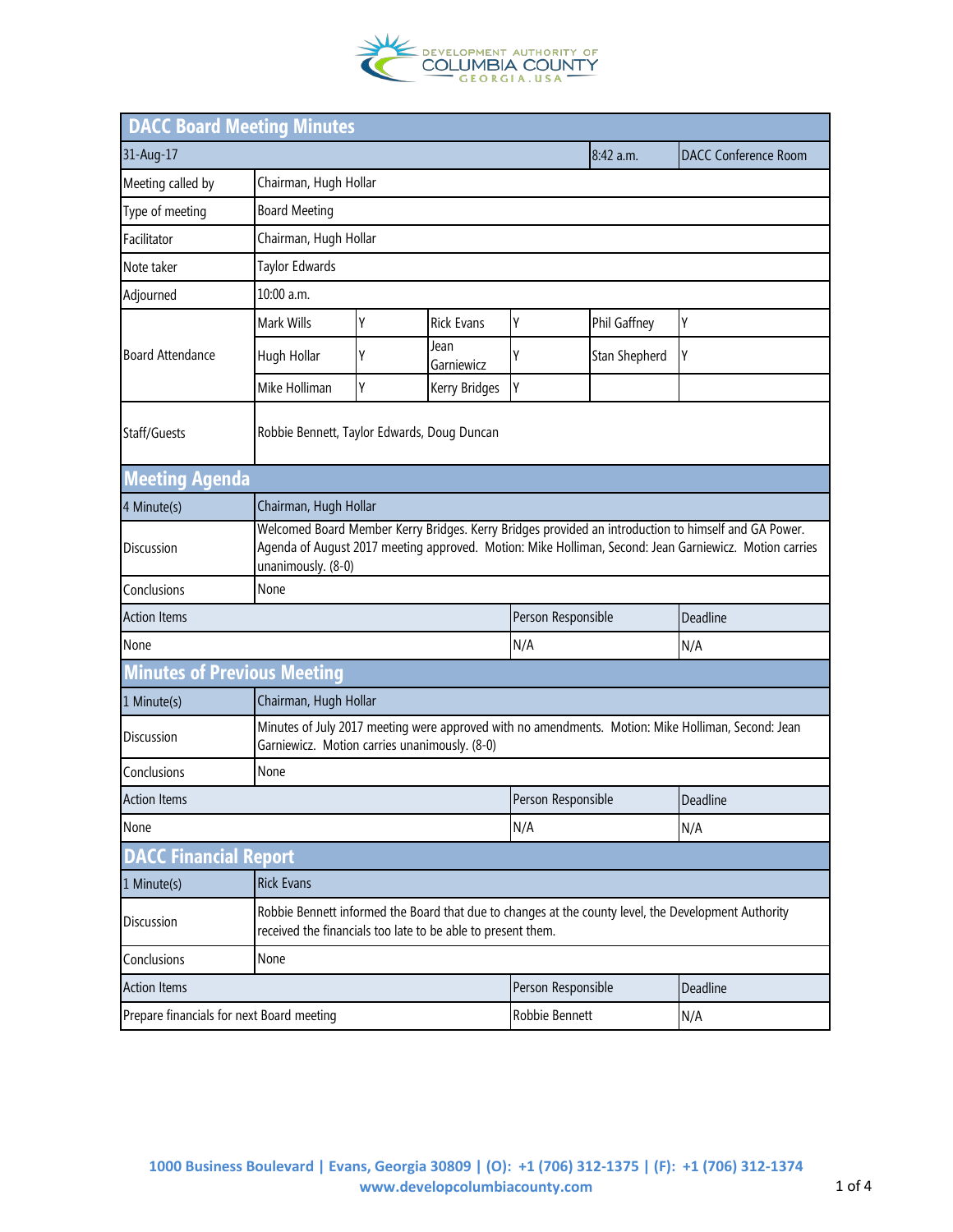

| <b>DACC Board Meeting Minutes</b>         |                                                                                                                                                                                                                                      |   |                      |                    |               |                             |
|-------------------------------------------|--------------------------------------------------------------------------------------------------------------------------------------------------------------------------------------------------------------------------------------|---|----------------------|--------------------|---------------|-----------------------------|
| 31-Aug-17                                 |                                                                                                                                                                                                                                      |   |                      |                    | 8:42 a.m.     | <b>DACC Conference Room</b> |
| Meeting called by                         | Chairman, Hugh Hollar                                                                                                                                                                                                                |   |                      |                    |               |                             |
| Type of meeting                           | <b>Board Meeting</b>                                                                                                                                                                                                                 |   |                      |                    |               |                             |
| Facilitator                               | Chairman, Hugh Hollar                                                                                                                                                                                                                |   |                      |                    |               |                             |
| Note taker                                | Taylor Edwards                                                                                                                                                                                                                       |   |                      |                    |               |                             |
| Adjourned                                 | 10:00 a.m.                                                                                                                                                                                                                           |   |                      |                    |               |                             |
|                                           | Mark Wills                                                                                                                                                                                                                           | Υ | <b>Rick Evans</b>    | Υ                  | Phil Gaffney  | Υ                           |
| <b>Board Attendance</b>                   | Hugh Hollar                                                                                                                                                                                                                          | γ | Jean<br>Garniewicz   | Υ                  | Stan Shepherd | γ                           |
|                                           | Mike Holliman                                                                                                                                                                                                                        | Υ | <b>Kerry Bridges</b> | Υ                  |               |                             |
| Staff/Guests                              | Robbie Bennett, Taylor Edwards, Doug Duncan                                                                                                                                                                                          |   |                      |                    |               |                             |
| <b>Meeting Agenda</b>                     |                                                                                                                                                                                                                                      |   |                      |                    |               |                             |
| 4 Minute(s)                               | Chairman, Hugh Hollar                                                                                                                                                                                                                |   |                      |                    |               |                             |
| <b>Discussion</b>                         | Welcomed Board Member Kerry Bridges. Kerry Bridges provided an introduction to himself and GA Power.<br>Agenda of August 2017 meeting approved. Motion: Mike Holliman, Second: Jean Garniewicz. Motion carries<br>unanimously. (8-0) |   |                      |                    |               |                             |
| Conclusions<br>None                       |                                                                                                                                                                                                                                      |   |                      |                    |               |                             |
| <b>Action Items</b>                       |                                                                                                                                                                                                                                      |   |                      | Person Responsible |               | Deadline                    |
| None                                      |                                                                                                                                                                                                                                      |   | N/A                  |                    | N/A           |                             |
| <b>Minutes of Previous Meeting</b>        |                                                                                                                                                                                                                                      |   |                      |                    |               |                             |
| 1 Minute(s)                               | Chairman, Hugh Hollar                                                                                                                                                                                                                |   |                      |                    |               |                             |
| <b>Discussion</b>                         | Minutes of July 2017 meeting were approved with no amendments. Motion: Mike Holliman, Second: Jean<br>Garniewicz. Motion carries unanimously. (8-0)                                                                                  |   |                      |                    |               |                             |
| None<br>Conclusions                       |                                                                                                                                                                                                                                      |   |                      |                    |               |                             |
| <b>Action Items</b>                       |                                                                                                                                                                                                                                      |   |                      | Person Responsible |               | Deadline                    |
| None                                      |                                                                                                                                                                                                                                      |   | N/A                  |                    | N/A           |                             |
| <b>DACC Financial Report</b>              |                                                                                                                                                                                                                                      |   |                      |                    |               |                             |
| 1 Minute(s)                               | <b>Rick Evans</b>                                                                                                                                                                                                                    |   |                      |                    |               |                             |
| Discussion                                | Robbie Bennett informed the Board that due to changes at the county level, the Development Authority<br>received the financials too late to be able to present them.                                                                 |   |                      |                    |               |                             |
| Conclusions<br>None                       |                                                                                                                                                                                                                                      |   |                      |                    |               |                             |
| <b>Action Items</b>                       |                                                                                                                                                                                                                                      |   | Person Responsible   |                    | Deadline      |                             |
| Prepare financials for next Board meeting |                                                                                                                                                                                                                                      |   | Robbie Bennett       |                    | N/A           |                             |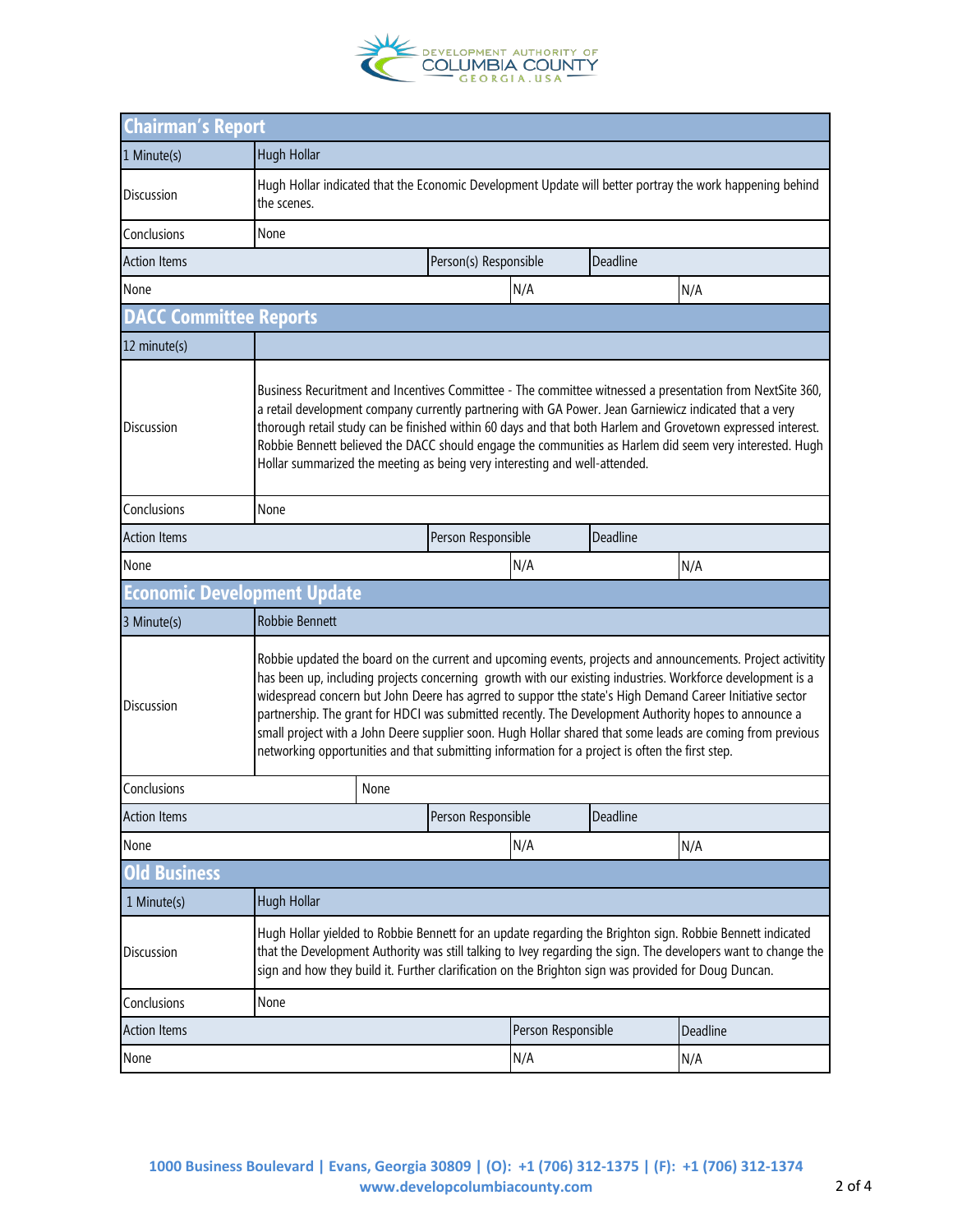

| <b>Chairman's Report</b>           |                                                                                                                                                                                                                                                                                                                                                                                                                                                                                                                                                                                                                                                                 |                       |                    |          |          |
|------------------------------------|-----------------------------------------------------------------------------------------------------------------------------------------------------------------------------------------------------------------------------------------------------------------------------------------------------------------------------------------------------------------------------------------------------------------------------------------------------------------------------------------------------------------------------------------------------------------------------------------------------------------------------------------------------------------|-----------------------|--------------------|----------|----------|
| 1 Minute(s)                        | <b>Hugh Hollar</b>                                                                                                                                                                                                                                                                                                                                                                                                                                                                                                                                                                                                                                              |                       |                    |          |          |
| Discussion                         | Hugh Hollar indicated that the Economic Development Update will better portray the work happening behind<br>the scenes.                                                                                                                                                                                                                                                                                                                                                                                                                                                                                                                                         |                       |                    |          |          |
| Conclusions                        | None                                                                                                                                                                                                                                                                                                                                                                                                                                                                                                                                                                                                                                                            |                       |                    |          |          |
| <b>Action Items</b>                |                                                                                                                                                                                                                                                                                                                                                                                                                                                                                                                                                                                                                                                                 | Person(s) Responsible |                    | Deadline |          |
| None                               |                                                                                                                                                                                                                                                                                                                                                                                                                                                                                                                                                                                                                                                                 |                       | N/A                |          | N/A      |
| <b>DACC Committee Reports</b>      |                                                                                                                                                                                                                                                                                                                                                                                                                                                                                                                                                                                                                                                                 |                       |                    |          |          |
| 12 minute(s)                       |                                                                                                                                                                                                                                                                                                                                                                                                                                                                                                                                                                                                                                                                 |                       |                    |          |          |
| <b>Discussion</b>                  | Business Recuritment and Incentives Committee - The committee witnessed a presentation from NextSite 360,<br>a retail development company currently partnering with GA Power. Jean Garniewicz indicated that a very<br>thorough retail study can be finished within 60 days and that both Harlem and Grovetown expressed interest.<br>Robbie Bennett believed the DACC should engage the communities as Harlem did seem very interested. Hugh<br>Hollar summarized the meeting as being very interesting and well-attended.                                                                                                                                     |                       |                    |          |          |
| Conclusions                        | None                                                                                                                                                                                                                                                                                                                                                                                                                                                                                                                                                                                                                                                            |                       |                    |          |          |
| <b>Action Items</b>                |                                                                                                                                                                                                                                                                                                                                                                                                                                                                                                                                                                                                                                                                 | Person Responsible    |                    | Deadline |          |
| None                               |                                                                                                                                                                                                                                                                                                                                                                                                                                                                                                                                                                                                                                                                 |                       | N/A                |          | N/A      |
| <b>Economic Development Update</b> |                                                                                                                                                                                                                                                                                                                                                                                                                                                                                                                                                                                                                                                                 |                       |                    |          |          |
| 3 Minute(s)                        | Robbie Bennett                                                                                                                                                                                                                                                                                                                                                                                                                                                                                                                                                                                                                                                  |                       |                    |          |          |
| <b>Discussion</b>                  | Robbie updated the board on the current and upcoming events, projects and announcements. Project activitity<br>has been up, including projects concerning growth with our existing industries. Workforce development is a<br>widespread concern but John Deere has agrred to suppor tthe state's High Demand Career Initiative sector<br>partnership. The grant for HDCI was submitted recently. The Development Authority hopes to announce a<br>small project with a John Deere supplier soon. Hugh Hollar shared that some leads are coming from previous<br>networking opportunities and that submitting information for a project is often the first step. |                       |                    |          |          |
| Conclusions                        | None                                                                                                                                                                                                                                                                                                                                                                                                                                                                                                                                                                                                                                                            |                       |                    |          |          |
| <b>Action Items</b>                |                                                                                                                                                                                                                                                                                                                                                                                                                                                                                                                                                                                                                                                                 | Person Responsible    |                    | Deadline |          |
| None                               |                                                                                                                                                                                                                                                                                                                                                                                                                                                                                                                                                                                                                                                                 |                       | N/A                |          | N/A      |
| Old Business                       |                                                                                                                                                                                                                                                                                                                                                                                                                                                                                                                                                                                                                                                                 |                       |                    |          |          |
| 1 Minute(s)                        | <b>Hugh Hollar</b>                                                                                                                                                                                                                                                                                                                                                                                                                                                                                                                                                                                                                                              |                       |                    |          |          |
| Discussion                         | Hugh Hollar yielded to Robbie Bennett for an update regarding the Brighton sign. Robbie Bennett indicated<br>that the Development Authority was still talking to Ivey regarding the sign. The developers want to change the<br>sign and how they build it. Further clarification on the Brighton sign was provided for Doug Duncan.                                                                                                                                                                                                                                                                                                                             |                       |                    |          |          |
| Conclusions                        | None                                                                                                                                                                                                                                                                                                                                                                                                                                                                                                                                                                                                                                                            |                       |                    |          |          |
| <b>Action Items</b>                |                                                                                                                                                                                                                                                                                                                                                                                                                                                                                                                                                                                                                                                                 |                       | Person Responsible |          | Deadline |
| None                               |                                                                                                                                                                                                                                                                                                                                                                                                                                                                                                                                                                                                                                                                 |                       | N/A                |          | N/A      |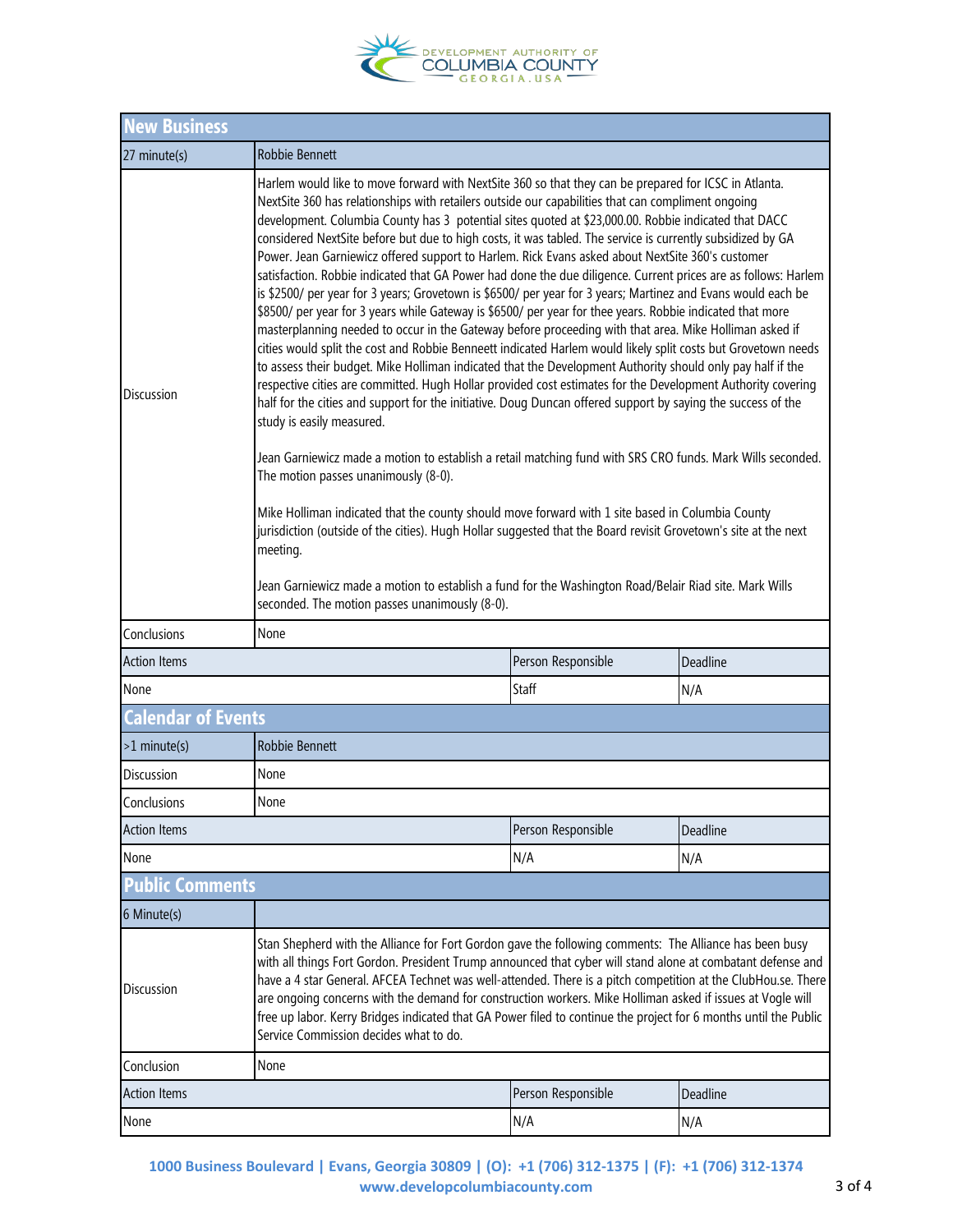

| <b>New Business</b>       |                                                                                                                                                                                                                                                                                                                                                                                                                                                                                                                                                                                                                                                                                                                                                                                                                                                                                                                                                                                                                                                                                                                                                                                                                                                                                                                                                                                                                                                                                                                                                                                                                                                                                                                                                                                                                                                                                                                                                                                              |                    |          |  |  |  |
|---------------------------|----------------------------------------------------------------------------------------------------------------------------------------------------------------------------------------------------------------------------------------------------------------------------------------------------------------------------------------------------------------------------------------------------------------------------------------------------------------------------------------------------------------------------------------------------------------------------------------------------------------------------------------------------------------------------------------------------------------------------------------------------------------------------------------------------------------------------------------------------------------------------------------------------------------------------------------------------------------------------------------------------------------------------------------------------------------------------------------------------------------------------------------------------------------------------------------------------------------------------------------------------------------------------------------------------------------------------------------------------------------------------------------------------------------------------------------------------------------------------------------------------------------------------------------------------------------------------------------------------------------------------------------------------------------------------------------------------------------------------------------------------------------------------------------------------------------------------------------------------------------------------------------------------------------------------------------------------------------------------------------------|--------------------|----------|--|--|--|
| 27 minute(s)              | Robbie Bennett                                                                                                                                                                                                                                                                                                                                                                                                                                                                                                                                                                                                                                                                                                                                                                                                                                                                                                                                                                                                                                                                                                                                                                                                                                                                                                                                                                                                                                                                                                                                                                                                                                                                                                                                                                                                                                                                                                                                                                               |                    |          |  |  |  |
| <b>Discussion</b>         | Harlem would like to move forward with NextSite 360 so that they can be prepared for ICSC in Atlanta.<br>NextSite 360 has relationships with retailers outside our capabilities that can compliment ongoing<br>development. Columbia County has 3 potential sites quoted at \$23,000.00. Robbie indicated that DACC<br>considered NextSite before but due to high costs, it was tabled. The service is currently subsidized by GA<br>Power. Jean Garniewicz offered support to Harlem. Rick Evans asked about NextSite 360's customer<br>satisfaction. Robbie indicated that GA Power had done the due diligence. Current prices are as follows: Harlem<br>is \$2500/ per year for 3 years; Grovetown is \$6500/ per year for 3 years; Martinez and Evans would each be<br>\$8500/ per year for 3 years while Gateway is \$6500/ per year for thee years. Robbie indicated that more<br>masterplanning needed to occur in the Gateway before proceeding with that area. Mike Holliman asked if<br>cities would split the cost and Robbie Benneett indicated Harlem would likely split costs but Grovetown needs<br>to assess their budget. Mike Holliman indicated that the Development Authority should only pay half if the<br>respective cities are committed. Hugh Hollar provided cost estimates for the Development Authority covering<br>half for the cities and support for the initiative. Doug Duncan offered support by saying the success of the<br>study is easily measured.<br>Jean Garniewicz made a motion to establish a retail matching fund with SRS CRO funds. Mark Wills seconded.<br>The motion passes unanimously (8-0).<br>Mike Holliman indicated that the county should move forward with 1 site based in Columbia County<br>jurisdiction (outside of the cities). Hugh Hollar suggested that the Board revisit Grovetown's site at the next<br>meeting.<br>Jean Garniewicz made a motion to establish a fund for the Washington Road/Belair Riad site. Mark Wills |                    |          |  |  |  |
| Conclusions               | seconded. The motion passes unanimously (8-0).<br>None                                                                                                                                                                                                                                                                                                                                                                                                                                                                                                                                                                                                                                                                                                                                                                                                                                                                                                                                                                                                                                                                                                                                                                                                                                                                                                                                                                                                                                                                                                                                                                                                                                                                                                                                                                                                                                                                                                                                       |                    |          |  |  |  |
| <b>Action Items</b>       |                                                                                                                                                                                                                                                                                                                                                                                                                                                                                                                                                                                                                                                                                                                                                                                                                                                                                                                                                                                                                                                                                                                                                                                                                                                                                                                                                                                                                                                                                                                                                                                                                                                                                                                                                                                                                                                                                                                                                                                              | Person Responsible | Deadline |  |  |  |
| None                      |                                                                                                                                                                                                                                                                                                                                                                                                                                                                                                                                                                                                                                                                                                                                                                                                                                                                                                                                                                                                                                                                                                                                                                                                                                                                                                                                                                                                                                                                                                                                                                                                                                                                                                                                                                                                                                                                                                                                                                                              | Staff              | N/A      |  |  |  |
| <b>Calendar of Events</b> |                                                                                                                                                                                                                                                                                                                                                                                                                                                                                                                                                                                                                                                                                                                                                                                                                                                                                                                                                                                                                                                                                                                                                                                                                                                                                                                                                                                                                                                                                                                                                                                                                                                                                                                                                                                                                                                                                                                                                                                              |                    |          |  |  |  |
| >1 minute(s)              | Robbie Bennett                                                                                                                                                                                                                                                                                                                                                                                                                                                                                                                                                                                                                                                                                                                                                                                                                                                                                                                                                                                                                                                                                                                                                                                                                                                                                                                                                                                                                                                                                                                                                                                                                                                                                                                                                                                                                                                                                                                                                                               |                    |          |  |  |  |
| Discussion                | None                                                                                                                                                                                                                                                                                                                                                                                                                                                                                                                                                                                                                                                                                                                                                                                                                                                                                                                                                                                                                                                                                                                                                                                                                                                                                                                                                                                                                                                                                                                                                                                                                                                                                                                                                                                                                                                                                                                                                                                         |                    |          |  |  |  |
| Conclusions               | None                                                                                                                                                                                                                                                                                                                                                                                                                                                                                                                                                                                                                                                                                                                                                                                                                                                                                                                                                                                                                                                                                                                                                                                                                                                                                                                                                                                                                                                                                                                                                                                                                                                                                                                                                                                                                                                                                                                                                                                         |                    |          |  |  |  |
| <b>Action Items</b>       |                                                                                                                                                                                                                                                                                                                                                                                                                                                                                                                                                                                                                                                                                                                                                                                                                                                                                                                                                                                                                                                                                                                                                                                                                                                                                                                                                                                                                                                                                                                                                                                                                                                                                                                                                                                                                                                                                                                                                                                              | Person Responsible | Deadline |  |  |  |
| None                      |                                                                                                                                                                                                                                                                                                                                                                                                                                                                                                                                                                                                                                                                                                                                                                                                                                                                                                                                                                                                                                                                                                                                                                                                                                                                                                                                                                                                                                                                                                                                                                                                                                                                                                                                                                                                                                                                                                                                                                                              |                    | N/A      |  |  |  |
| <b>Public Comments</b>    | N/A                                                                                                                                                                                                                                                                                                                                                                                                                                                                                                                                                                                                                                                                                                                                                                                                                                                                                                                                                                                                                                                                                                                                                                                                                                                                                                                                                                                                                                                                                                                                                                                                                                                                                                                                                                                                                                                                                                                                                                                          |                    |          |  |  |  |
| 6 Minute(s)               |                                                                                                                                                                                                                                                                                                                                                                                                                                                                                                                                                                                                                                                                                                                                                                                                                                                                                                                                                                                                                                                                                                                                                                                                                                                                                                                                                                                                                                                                                                                                                                                                                                                                                                                                                                                                                                                                                                                                                                                              |                    |          |  |  |  |
| Discussion                | Stan Shepherd with the Alliance for Fort Gordon gave the following comments: The Alliance has been busy<br>with all things Fort Gordon. President Trump announced that cyber will stand alone at combatant defense and<br>have a 4 star General. AFCEA Technet was well-attended. There is a pitch competition at the ClubHou.se. There<br>are ongoing concerns with the demand for construction workers. Mike Holliman asked if issues at Vogle will<br>free up labor. Kerry Bridges indicated that GA Power filed to continue the project for 6 months until the Public<br>Service Commission decides what to do.                                                                                                                                                                                                                                                                                                                                                                                                                                                                                                                                                                                                                                                                                                                                                                                                                                                                                                                                                                                                                                                                                                                                                                                                                                                                                                                                                                          |                    |          |  |  |  |
| Conclusion                | None                                                                                                                                                                                                                                                                                                                                                                                                                                                                                                                                                                                                                                                                                                                                                                                                                                                                                                                                                                                                                                                                                                                                                                                                                                                                                                                                                                                                                                                                                                                                                                                                                                                                                                                                                                                                                                                                                                                                                                                         |                    |          |  |  |  |
| <b>Action Items</b>       |                                                                                                                                                                                                                                                                                                                                                                                                                                                                                                                                                                                                                                                                                                                                                                                                                                                                                                                                                                                                                                                                                                                                                                                                                                                                                                                                                                                                                                                                                                                                                                                                                                                                                                                                                                                                                                                                                                                                                                                              | Person Responsible | Deadline |  |  |  |
| None                      |                                                                                                                                                                                                                                                                                                                                                                                                                                                                                                                                                                                                                                                                                                                                                                                                                                                                                                                                                                                                                                                                                                                                                                                                                                                                                                                                                                                                                                                                                                                                                                                                                                                                                                                                                                                                                                                                                                                                                                                              | N/A                | N/A      |  |  |  |